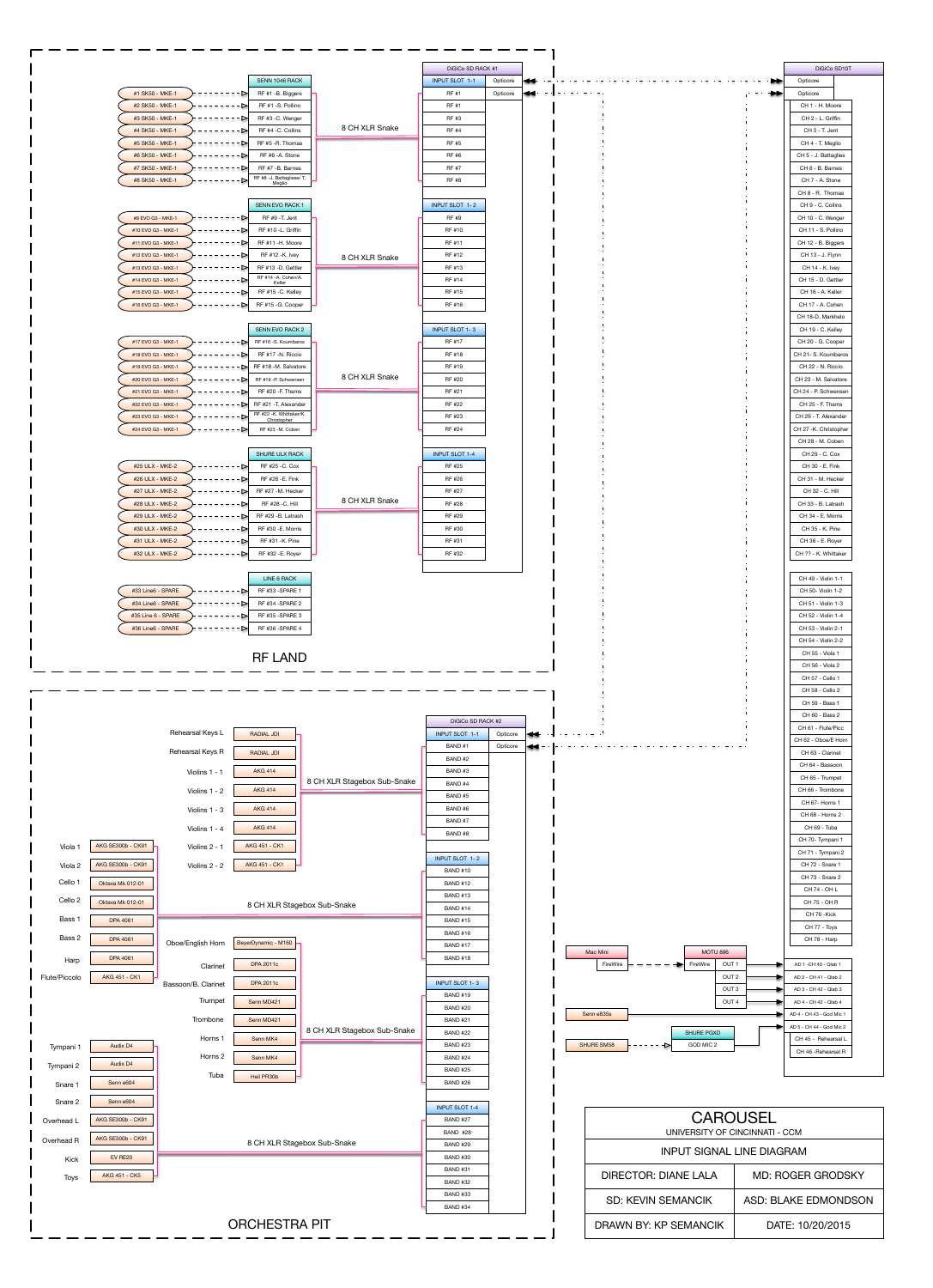|                                                |                                        |                | DiGiCo SD RACK #1     |          |    |                  |  |               | DiGiCo SD10T          |  |
|------------------------------------------------|----------------------------------------|----------------|-----------------------|----------|----|------------------|--|---------------|-----------------------|--|
|                                                | SENN 1046 RACK                         |                | <b>INPUT SLOT 1-1</b> | Opticore | Н÷ |                  |  | <b>DE</b>     | Opticore              |  |
| #1 SK50 - MKE-1                                | RF #1 -B. Biggers                      |                | <b>RF#1</b>           | Opticore | kе | adalah adalah ad |  | $\rightarrow$ | Opticore              |  |
| #2 SK50 - MKE-1<br>--------->                  | RF #1 -S. Pollino                      |                | RF #1                 |          |    |                  |  |               | CH 1 - H. Moore       |  |
| #3 SK50 - MKE-1<br>. - - - - - - <b>-</b> >    | RF #3 -C. Wenger                       |                | RF #3                 |          |    |                  |  |               | CH 2 - L. Griffin     |  |
| #4 SK50 - MKE-1<br>1555555 <b>D</b>            | RF #4 -C. Collins                      | 8 CH XLR Snake | <b>RF#4</b>           |          |    |                  |  |               | CH 3 - T. Jent        |  |
| #5 SK50 - MKE-1<br>--------->                  | RF #5 -R. Thomas                       |                | <b>RF #5</b>          |          |    |                  |  |               | CH 4 - T. Meglio      |  |
| #6 SK50 - MKE-1<br>--------->                  | RF #6 -A. Stone                        |                | RF #6                 |          |    |                  |  |               | CH 5 - J. Battaglies  |  |
| #7 SK50 - MKE-1<br>- - d                       | RF #7 -B. Barnes                       |                | <b>RF #7</b>          |          |    |                  |  |               | CH 6 - B. Barnes      |  |
| #8 SK50 - MKE-1<br>·⊳                          | RF #8 -J. Battagliese/ T.<br>Meglio    |                | <b>RF#8</b>           |          |    |                  |  |               | CH 7 - A. Stone       |  |
|                                                |                                        |                |                       |          |    |                  |  |               | CH 8 - R. Thomas      |  |
|                                                | <b>SENN EVO RACK 1</b>                 |                | <b>INPUT SLOT 1-2</b> |          |    |                  |  |               | CH 9 - C. Collins     |  |
| #9 EVO G3 - MKE-1<br>. <b>.</b> 2              | RF #9 - T. Jent                        |                | RF #9                 |          |    |                  |  |               | CH 10 - C. Wenger     |  |
| #10 EVO G3 - MKE-1<br>. - - - - - - ⊳          | RF #10 -L. Griffin                     |                | RF #10                |          |    |                  |  |               | CH 11 - S. Pollino    |  |
| #11 EVO G3 - MKE-1<br>- - d                    | RF #11 -H. Moore                       |                | RF #11                |          |    |                  |  |               | CH 12 - B. Biggers    |  |
| #12 EVO G3 - MKE-1<br>. <u>.</u> 21            | RF #12 -K. Ivey                        | 8 CH XLR Snake | RF #12                |          |    |                  |  |               | CH 13 - J. Flynn      |  |
| #13 EVO G3 - MKE-1<br>--------->               | RF #13 -D. Gettler                     |                | RF #13                |          |    |                  |  |               | CH 14 - K. Ivey       |  |
| #14 EVO G3 - MKE-1<br>. - - - - - - <b>-</b> > | RF #14 -A. Cohen/A.<br>Keller          |                | RF #14                |          |    |                  |  |               | CH 15 - D. Gettler    |  |
| #15 EVO G3 - MKE-1<br>. <b>.</b> >             | RF #15 -C. Kelley                      |                | RF #15                |          |    |                  |  |               | CH 16 - A. Keller     |  |
| #16 EVO G3 - MKE-1<br>-⊳ı                      | RF #15 - G. Cooper                     |                | RF #16                |          |    |                  |  |               | CH 17 - A. Cohen      |  |
|                                                |                                        |                |                       |          |    |                  |  |               | CH 18-D. Markhelo     |  |
|                                                | SENN EVO RACK 2                        |                | <b>INPUT SLOT 1-3</b> |          |    |                  |  |               | CH 19 - C. Kellev     |  |
| #17 EVO G3 - MKE-1<br>--------->               | RF #16 -S. Koumbaros                   |                | <b>RF #17</b>         |          |    |                  |  |               | CH 20 - G. Cooper     |  |
| #18 EVO G3 - MKE-1<br>-- d                     | RF #17 -N. Riccio                      |                | RF #18                |          |    |                  |  |               | CH 21- S. Koumbaros   |  |
| #19 EVO G3 - MKE-1                             | $- - - - - - - -$ RF #18 -M. Salvatore |                | RF #19                |          |    |                  |  |               | CH 22 - N. Riccio     |  |
| #20 EVO G3 - MKE-1<br>---------                | RF #19 - P. Schwensen                  | 8 CH XLR Snake | RF #20                |          |    |                  |  |               | CH 23 - M. Salvatore  |  |
| #21 EVO G3 - MKE-1<br>                         | RF #20 - F. Thams                      |                | RF #21                |          |    |                  |  |               | CH 24 - P. Schwensen  |  |
| #22 EVO G3 - MKE-1<br>- - d                    | RF #21 -T. Alexander                   |                | RF #22                |          |    |                  |  |               | CH 25 - F. Thams      |  |
| #23 EVO G3 - MKE-1<br>-------- <b>-</b>        | RF #22 -K. Whittaker/K.<br>Christopher |                | RF #23                |          |    |                  |  |               | CH 26 - T. Alexander  |  |
| #24 EVO G3 - MKE-1<br>- -⊳ı                    | RF #23 -M. Coben                       |                | RF #24                |          |    |                  |  |               | CH 27 -K. Christopher |  |
|                                                |                                        |                |                       |          |    |                  |  |               | CH 28 - M. Coben      |  |
|                                                | SHURE ULX RACK                         |                | <b>INPUT SLOT 1-4</b> |          |    |                  |  |               | CH 29 - C. Cox        |  |
| #25 ULX - MKE-2<br>. <b>.</b> 2                | RF #25 -C. Cox                         |                | RF #25                |          |    |                  |  |               | CH 30 - E. Fink       |  |
| #26 ULX - MKE-2<br>$- - - - -$                 | RF #26 - E. Fink                       |                | RF #26                |          |    |                  |  |               | CH 31 - M. Hecker     |  |
| #27 ULX - MKE-2<br>--------->                  | RF #27 -M. Hecker                      |                | RF #27                |          |    |                  |  |               | CH 32 - C. Hill       |  |
| #28 ULX - MKE-2<br>--------->                  | RF #28 - C. Hill                       | 8 CH XLR Snake | RF #28                |          |    |                  |  |               | CH 33 - B. Latrash    |  |
| #29 ULX - MKE-2<br>- - d                       | RF #29 -B. Latrash                     |                | RF #29                |          |    |                  |  |               | CH 34 - E. Morris     |  |
| #30 ULX - MKE-2<br>--------->                  | RF #30 -E. Morris                      |                | RF #30                |          |    |                  |  |               | CH 35 - K. Pine       |  |
| #31 ULX - MKE-2<br>--------->                  | RF #31 -K. Pine                        |                | RF #31                |          |    |                  |  |               | CH 36 - E. Royer      |  |
| #32 ULX - MKE-2<br>-⊳⊦                         | RF #32 - E. Royer                      |                | RF #32                |          |    |                  |  |               | CH ?? - K. Whittaker  |  |
|                                                |                                        |                |                       |          |    |                  |  |               |                       |  |
|                                                | LINE 6 RACK                            |                |                       |          |    |                  |  |               | CH 49 - Violin 1-1    |  |
| #33 Line6 - SPARE<br>-----N                    | RF #33 -SPARE 1                        |                |                       |          |    |                  |  |               | CH 50- Violin 1-2     |  |
|                                                |                                        |                |                       |          |    |                  |  |               |                       |  |

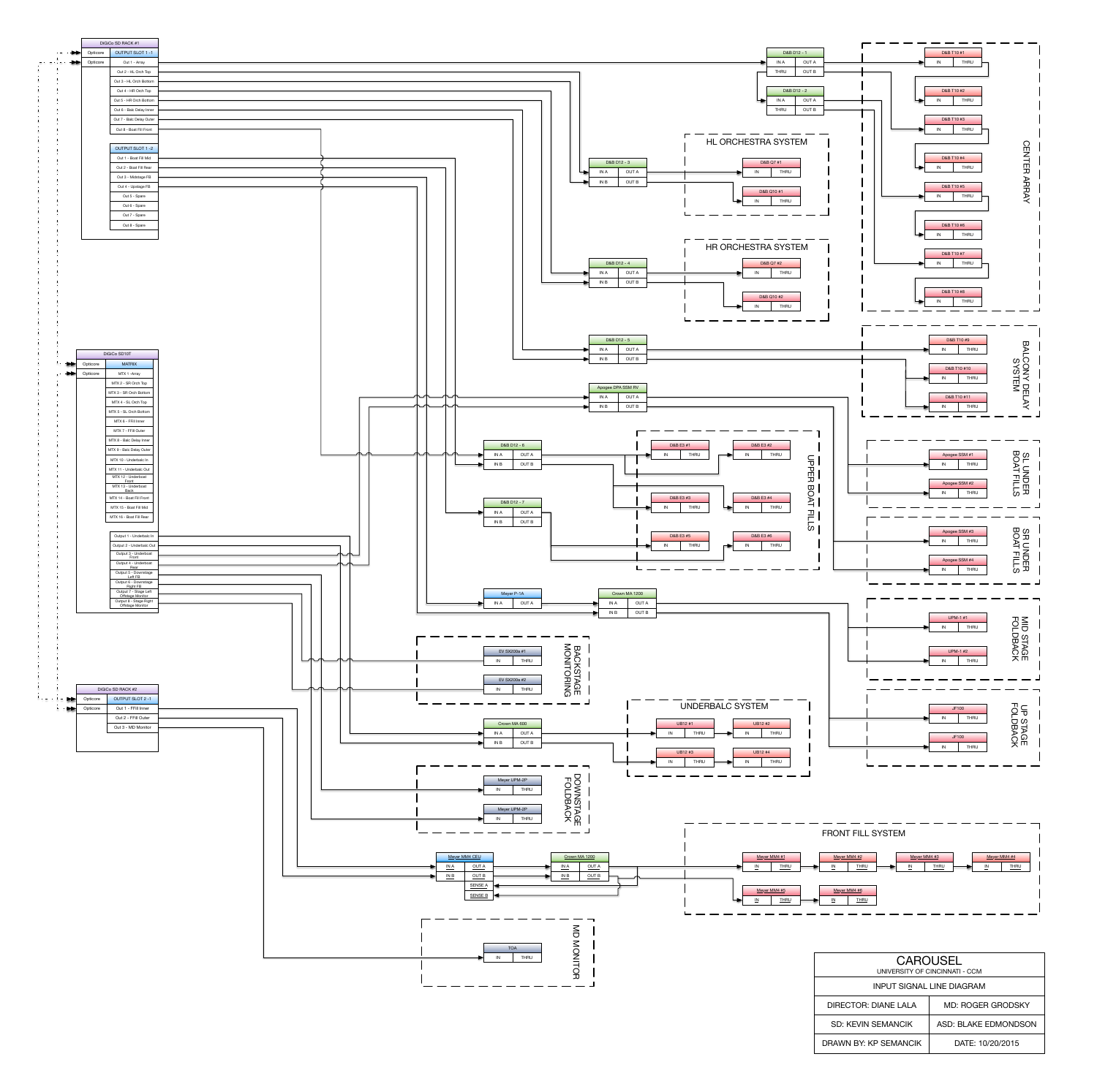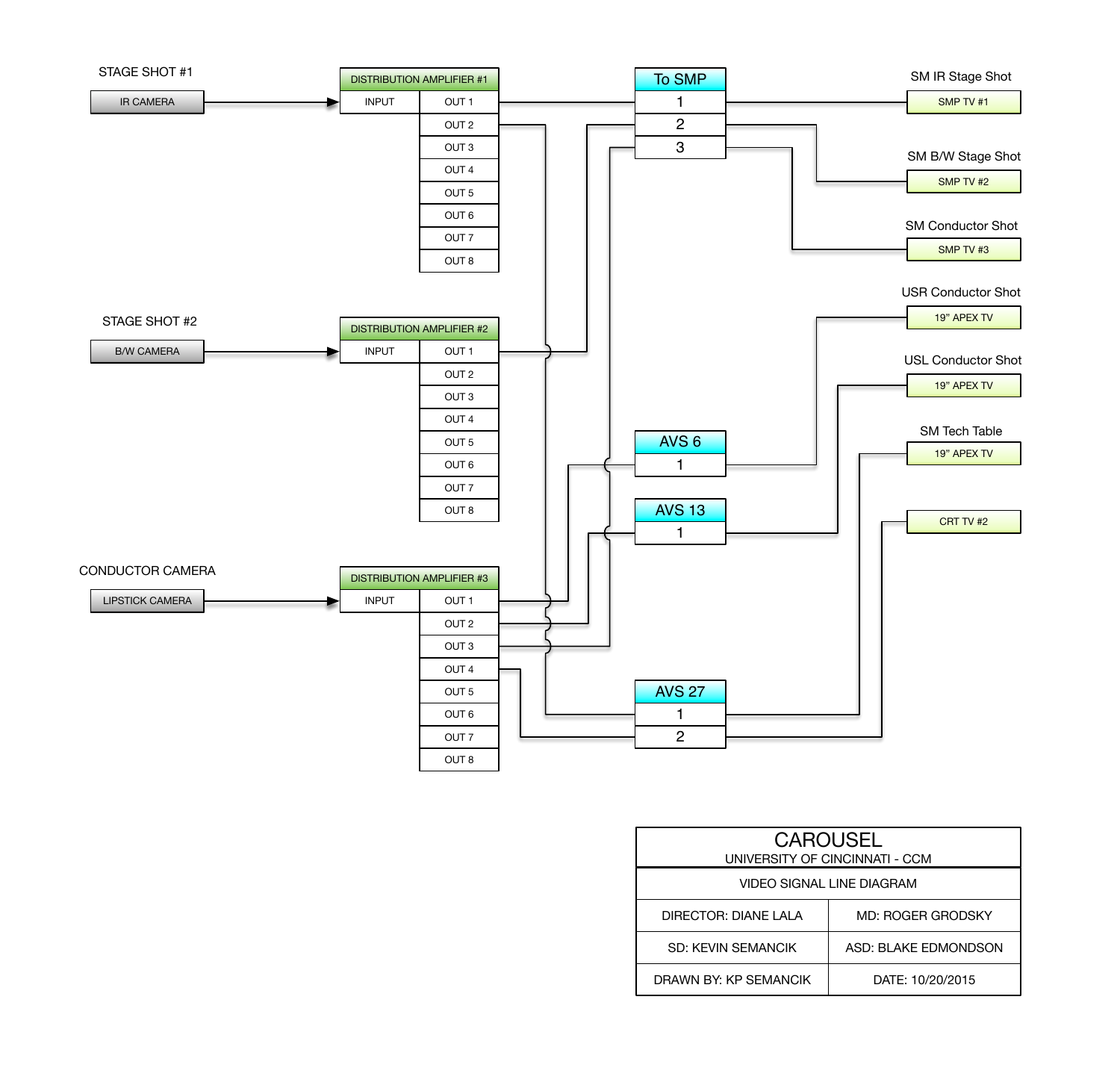

| <b>CAROUSEL</b><br>UNIVERSITY OF CINCINNATI - CCM |                          |  |  |  |  |
|---------------------------------------------------|--------------------------|--|--|--|--|
| <b>VIDEO SIGNAL LINE DIAGRAM</b>                  |                          |  |  |  |  |
| DIRECTOR: DIANE LALA                              | <b>MD: ROGER GRODSKY</b> |  |  |  |  |
| <b>SD: KEVIN SEMANCIK</b>                         | ASD: BLAKE EDMONDSON     |  |  |  |  |
| DRAWN BY: KP SEMANCIK                             | DATE: 10/20/2015         |  |  |  |  |